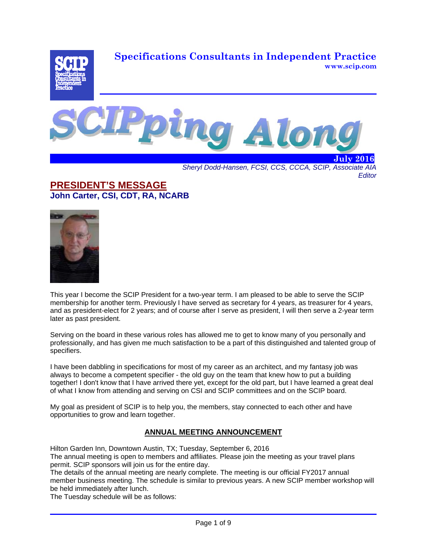**Specifications Consultants in Independent Practice www.scip.com**





*Sheryl Dodd-Hansen, FCSI, CCS, CCCA, SCIP, Associate AIA Editor* 

# **PRESIDENT'S MESSAGE John Carter, CSI, CDT, RA, NCARB**



This year I become the SCIP President for a two-year term. I am pleased to be able to serve the SCIP membership for another term. Previously I have served as secretary for 4 years, as treasurer for 4 years, and as president-elect for 2 years; and of course after I serve as president, I will then serve a 2-year term later as past president.

Serving on the board in these various roles has allowed me to get to know many of you personally and professionally, and has given me much satisfaction to be a part of this distinguished and talented group of specifiers.

I have been dabbling in specifications for most of my career as an architect, and my fantasy job was always to become a competent specifier - the old guy on the team that knew how to put a building together! I don't know that I have arrived there yet, except for the old part, but I have learned a great deal of what I know from attending and serving on CSI and SCIP committees and on the SCIP board.

My goal as president of SCIP is to help you, the members, stay connected to each other and have opportunities to grow and learn together.

# **ANNUAL MEETING ANNOUNCEMENT**

Hilton Garden Inn, Downtown Austin, TX; Tuesday, September 6, 2016

The annual meeting is open to members and affiliates. Please join the meeting as your travel plans permit. SCIP sponsors will join us for the entire day.

The details of the annual meeting are nearly complete. The meeting is our official FY2017 annual member business meeting. The schedule is similar to previous years. A new SCIP member workshop will be held immediately after lunch.

The Tuesday schedule will be as follows: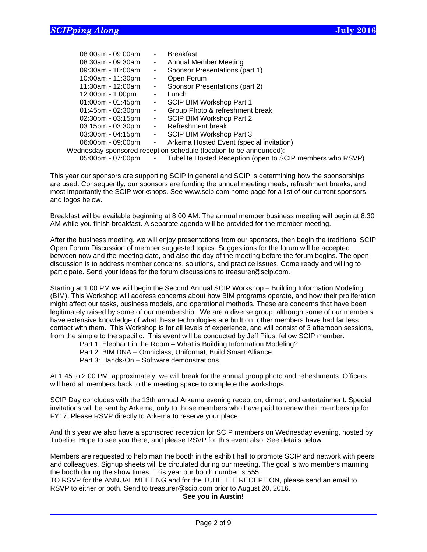|                                                                    | $08:00$ am - 09:00am |                | <b>Breakfast</b>                                          |  |
|--------------------------------------------------------------------|----------------------|----------------|-----------------------------------------------------------|--|
|                                                                    | $08:30$ am - 09:30am | $\sim$         | Annual Member Meeting                                     |  |
|                                                                    | $09:30$ am - 10:00am | $\blacksquare$ | Sponsor Presentations (part 1)                            |  |
|                                                                    | 10:00am - 11:30pm    | $\blacksquare$ | Open Forum                                                |  |
|                                                                    | 11:30am - 12:00am    | $\blacksquare$ | Sponsor Presentations (part 2)                            |  |
|                                                                    | 12:00pm - 1:00pm     | $\sim$         | Lunch                                                     |  |
|                                                                    | $01:00$ pm - 01:45pm | $\sim$         | SCIP BIM Workshop Part 1                                  |  |
|                                                                    | $01:45$ pm - 02:30pm | $\sim$         | Group Photo & refreshment break                           |  |
|                                                                    | 02:30pm - 03:15pm    | $\sim$         | SCIP BIM Workshop Part 2                                  |  |
|                                                                    | 03:15pm - 03:30pm    | $\sim 100$     | Refreshment break                                         |  |
|                                                                    | 03:30pm - 04:15pm    | $\sim 10$      | SCIP BIM Workshop Part 3                                  |  |
|                                                                    | 06:00pm - 09:00pm    | $\sim$         | Arkema Hosted Event (special invitation)                  |  |
| Wednesday sponsored reception schedule (location to be announced): |                      |                |                                                           |  |
|                                                                    | 05:00pm - 07:00pm    |                | Tubelite Hosted Reception (open to SCIP members who RSVP) |  |
|                                                                    |                      |                |                                                           |  |

This year our sponsors are supporting SCIP in general and SCIP is determining how the sponsorships are used. Consequently, our sponsors are funding the annual meeting meals, refreshment breaks, and most importantly the SCIP workshops. See www.scip.com home page for a list of our current sponsors and logos below.

Breakfast will be available beginning at 8:00 AM. The annual member business meeting will begin at 8:30 AM while you finish breakfast. A separate agenda will be provided for the member meeting.

After the business meeting, we will enjoy presentations from our sponsors, then begin the traditional SCIP Open Forum Discussion of member suggested topics. Suggestions for the forum will be accepted between now and the meeting date, and also the day of the meeting before the forum begins. The open discussion is to address member concerns, solutions, and practice issues. Come ready and willing to participate. Send your ideas for the forum discussions to treasurer@scip.com.

Starting at 1:00 PM we will begin the Second Annual SCIP Workshop – Building Information Modeling (BIM). This Workshop will address concerns about how BIM programs operate, and how their proliferation might affect our tasks, business models, and operational methods. These are concerns that have been legitimately raised by some of our membership. We are a diverse group, although some of our members have extensive knowledge of what these technologies are built on, other members have had far less contact with them. This Workshop is for all levels of experience, and will consist of 3 afternoon sessions, from the simple to the specific. This event will be conducted by Jeff Pilus, fellow SCIP member.

Part 1: Elephant in the Room – What is Building Information Modeling?

Part 2: BIM DNA – Omniclass, Uniformat, Build Smart Alliance.

Part 3: Hands-On – Software demonstrations.

 $\overline{a}$ 

At 1:45 to 2:00 PM, approximately, we will break for the annual group photo and refreshments. Officers will herd all members back to the meeting space to complete the workshops.

SCIP Day concludes with the 13th annual Arkema evening reception, dinner, and entertainment. Special invitations will be sent by Arkema, only to those members who have paid to renew their membership for FY17. Please RSVP directly to Arkema to reserve your place.

And this year we also have a sponsored reception for SCIP members on Wednesday evening, hosted by Tubelite. Hope to see you there, and please RSVP for this event also. See details below.

Members are requested to help man the booth in the exhibit hall to promote SCIP and network with peers and colleagues. Signup sheets will be circulated during our meeting. The goal is two members manning the booth during the show times. This year our booth number is 555.

TO RSVP for the ANNUAL MEETING and for the TUBELITE RECEPTION, please send an email to RSVP to either or both. Send to treasurer@scip.com prior to August 20, 2016.

**See you in Austin!**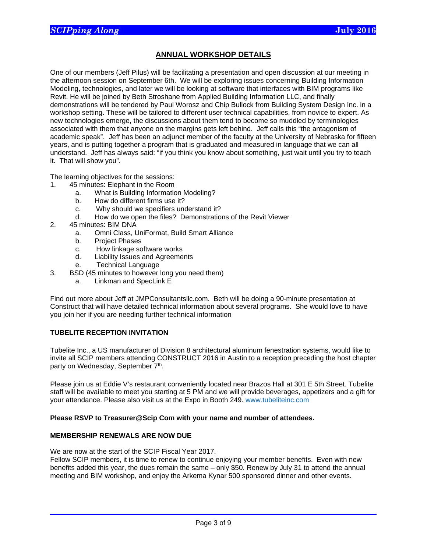# **ANNUAL WORKSHOP DETAILS**

One of our members (Jeff Pilus) will be facilitating a presentation and open discussion at our meeting in the afternoon session on September 6th. We will be exploring issues concerning Building Information Modeling, technologies, and later we will be looking at software that interfaces with BIM programs like Revit. He will be joined by Beth Stroshane from Applied Building Information LLC, and finally demonstrations will be tendered by Paul Worosz and Chip Bullock from Building System Design Inc. in a workshop setting. These will be tailored to different user technical capabilities, from novice to expert. As new technologies emerge, the discussions about them tend to become so muddled by terminologies associated with them that anyone on the margins gets left behind. Jeff calls this "the antagonism of academic speak". Jeff has been an adjunct member of the faculty at the University of Nebraska for fifteen years, and is putting together a program that is graduated and measured in language that we can all understand. Jeff has always said: "if you think you know about something, just wait until you try to teach it. That will show you".

The learning objectives for the sessions:

- 1. 45 minutes: Elephant in the Room
	- a. What is Building Information Modeling?
	- b. How do different firms use it?
	- c. Why should we specifiers understand it?
	- d. How do we open the files? Demonstrations of the Revit Viewer
- 2. 45 minutes: BIM DNA
	- a. Omni Class, UniFormat, Build Smart Alliance
	- b. Project Phases
	- c. How linkage software works
	- d. Liability Issues and Agreements
	- e. Technical Language
- 3. BSD (45 minutes to however long you need them)
	- a. Linkman and SpecLink E

Find out more about Jeff at JMPConsultantsllc.com. Beth will be doing a 90-minute presentation at Construct that will have detailed technical information about several programs. She would love to have you join her if you are needing further technical information

#### **TUBELITE RECEPTION INVITATION**

Tubelite Inc., a US manufacturer of Division 8 architectural aluminum fenestration systems, would like to invite all SCIP members attending CONSTRUCT 2016 in Austin to a reception preceding the host chapter party on Wednesday, September 7<sup>th</sup>.

Please join us at Eddie V's restaurant conveniently located near Brazos Hall at 301 E 5th Street. Tubelite staff will be available to meet you starting at 5 PM and we will provide beverages, appetizers and a gift for your attendance. Please also visit us at the Expo in Booth 249. www.tubeliteinc.com

#### **Please RSVP to Treasurer@Scip Com with your name and number of attendees.**

#### **MEMBERSHIP RENEWALS ARE NOW DUE**

 $\overline{a}$ 

We are now at the start of the SCIP Fiscal Year 2017.

Fellow SCIP members, it is time to renew to continue enjoying your member benefits. Even with new benefits added this year, the dues remain the same – only \$50. Renew by July 31 to attend the annual meeting and BIM workshop, and enjoy the Arkema Kynar 500 sponsored dinner and other events.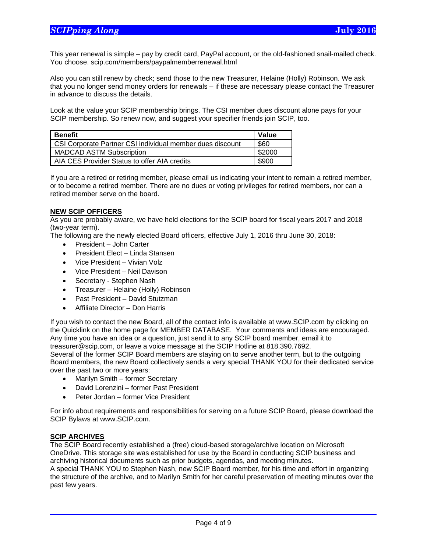This year renewal is simple – pay by credit card, PayPal account, or the old-fashioned snail-mailed check. You choose. scip.com/members/paypalmemberrenewal.html

Also you can still renew by check; send those to the new Treasurer, Helaine (Holly) Robinson. We ask that you no longer send money orders for renewals – if these are necessary please contact the Treasurer in advance to discuss the details.

Look at the value your SCIP membership brings. The CSI member dues discount alone pays for your SCIP membership. So renew now, and suggest your specifier friends join SCIP, too.

| <b>Benefit</b>                                            | Value  |
|-----------------------------------------------------------|--------|
| CSI Corporate Partner CSI individual member dues discount | \$60   |
| <b>MADCAD ASTM Subscription</b>                           | \$2000 |
| AIA CES Provider Status to offer AIA credits              | \$900  |

If you are a retired or retiring member, please email us indicating your intent to remain a retired member, or to become a retired member. There are no dues or voting privileges for retired members, nor can a retired member serve on the board.

#### **NEW SCIP OFFICERS**

As you are probably aware, we have held elections for the SCIP board for fiscal years 2017 and 2018 (two-year term).

The following are the newly elected Board officers, effective July 1, 2016 thru June 30, 2018:

- President John Carter
- President Elect Linda Stansen
- Vice President Vivian Volz
- Vice President Neil Davison
- Secretary Stephen Nash
- Treasurer Helaine (Holly) Robinson
- Past President David Stutzman
- Affiliate Director Don Harris

If you wish to contact the new Board, all of the contact info is available at www.SCIP.com by clicking on the Quicklink on the home page for MEMBER DATABASE. Your comments and ideas are encouraged. Any time you have an idea or a question, just send it to any SCIP board member, email it to treasurer@scip.com, or leave a voice message at the SCIP Hotline at 818.390.7692.

Several of the former SCIP Board members are staying on to serve another term, but to the outgoing Board members, the new Board collectively sends a very special THANK YOU for their dedicated service over the past two or more years:

- Marilyn Smith former Secretary
- David Lorenzini former Past President
- Peter Jordan former Vice President

For info about requirements and responsibilities for serving on a future SCIP Board, please download the SCIP Bylaws at www.SCIP.com.

### **SCIP ARCHIVES**

 $\overline{a}$ 

The SCIP Board recently established a (free) cloud-based storage/archive location on Microsoft OneDrive. This storage site was established for use by the Board in conducting SCIP business and archiving historical documents such as prior budgets, agendas, and meeting minutes.

A special THANK YOU to Stephen Nash, new SCIP Board member, for his time and effort in organizing the structure of the archive, and to Marilyn Smith for her careful preservation of meeting minutes over the past few years.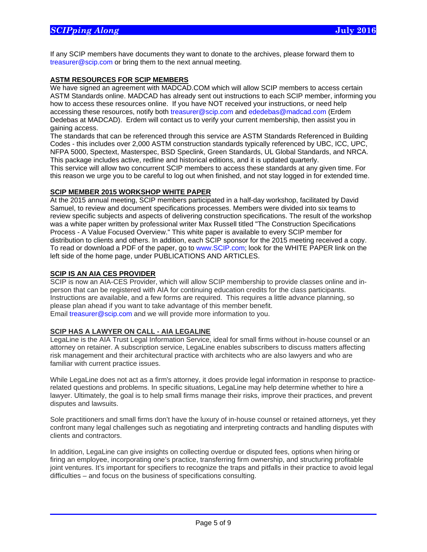If any SCIP members have documents they want to donate to the archives, please forward them to treasurer@scip.com or bring them to the next annual meeting.

### **ASTM RESOURCES FOR SCIP MEMBERS**

We have signed an agreement with MADCAD.COM which will allow SCIP members to access certain ASTM Standards online. MADCAD has already sent out instructions to each SCIP member, informing you how to access these resources online. If you have NOT received your instructions, or need help accessing these resources, notify both treasurer@scip.com and ededebas@madcad.com (Erdem Dedebas at MADCAD). Erdem will contact us to verify your current membership, then assist you in gaining access.

The standards that can be referenced through this service are ASTM Standards Referenced in Building Codes - this includes over 2,000 ASTM construction standards typically referenced by UBC, ICC, UPC, NFPA 5000, Spectext, Masterspec, BSD Speclink, Green Standards, UL Global Standards, and NRCA. This package includes active, redline and historical editions, and it is updated quarterly. This service will allow two concurrent SCIP members to access these standards at any given time. For this reason we urge you to be careful to log out when finished, and not stay logged in for extended time.

### **SCIP MEMBER 2015 WORKSHOP WHITE PAPER**

At the 2015 annual meeting, SCIP members participated in a half-day workshop, facilitated by David Samuel, to review and document specifications processes. Members were divided into six teams to review specific subjects and aspects of delivering construction specifications. The result of the workshop was a white paper written by professional writer Max Russell titled "The Construction Specifications Process - A Value Focused Overview." This white paper is available to every SCIP member for distribution to clients and others. In addition, each SCIP sponsor for the 2015 meeting received a copy. To read or download a PDF of the paper, go to www.SCIP.com; look for the WHITE PAPER link on the left side of the home page, under PUBLICATIONS AND ARTICLES.

### **SCIP IS AN AIA CES PROVIDER**

 $\overline{a}$ 

SCIP is now an AIA-CES Provider, which will allow SCIP membership to provide classes online and inperson that can be registered with AIA for continuing education credits for the class participants. Instructions are available, and a few forms are required. This requires a little advance planning, so please plan ahead if you want to take advantage of this member benefit. Email treasurer@scip.com and we will provide more information to you.

### **SCIP HAS A LAWYER ON CALL - AIA LEGALINE**

LegaLine is the AIA Trust Legal Information Service, ideal for small firms without in-house counsel or an attorney on retainer. A subscription service, LegaLine enables subscribers to discuss matters affecting risk management and their architectural practice with architects who are also lawyers and who are familiar with current practice issues.

While LegaLine does not act as a firm's attorney, it does provide legal information in response to practicerelated questions and problems. In specific situations, LegaLine may help determine whether to hire a lawyer. Ultimately, the goal is to help small firms manage their risks, improve their practices, and prevent disputes and lawsuits.

Sole practitioners and small firms don't have the luxury of in-house counsel or retained attorneys, yet they confront many legal challenges such as negotiating and interpreting contracts and handling disputes with clients and contractors.

In addition, LegaLine can give insights on collecting overdue or disputed fees, options when hiring or firing an employee, incorporating one's practice, transferring firm ownership, and structuring profitable joint ventures. It's important for specifiers to recognize the traps and pitfalls in their practice to avoid legal difficulties – and focus on the business of specifications consulting.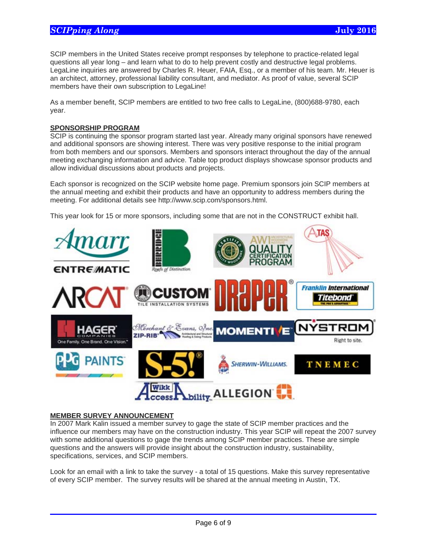SCIP members in the United States receive prompt responses by telephone to practice-related legal questions all year long – and learn what to do to help prevent costly and destructive legal problems. LegaLine inquiries are answered by Charles R. Heuer, FAIA, Esq., or a member of his team. Mr. Heuer is an architect, attorney, professional liability consultant, and mediator. As proof of value, several SCIP members have their own subscription to LegaLine!

As a member benefit, SCIP members are entitled to two free calls to LegaLine, (800)688-9780, each year.

### **SPONSORSHIP PROGRAM**

SCIP is continuing the sponsor program started last year. Already many original sponsors have renewed and additional sponsors are showing interest. There was very positive response to the initial program from both members and our sponsors. Members and sponsors interact throughout the day of the annual meeting exchanging information and advice. Table top product displays showcase sponsor products and allow individual discussions about products and projects.

Each sponsor is recognized on the SCIP website home page. Premium sponsors join SCIP members at the annual meeting and exhibit their products and have an opportunity to address members during the meeting. For additional details see http://www.scip.com/sponsors.html.

This year look for 15 or more sponsors, including some that are not in the CONSTRUCT exhibit hall.



#### **MEMBER SURVEY ANNOUNCEMENT**

 $\overline{a}$ 

In 2007 Mark Kalin issued a member survey to gage the state of SCIP member practices and the influence our members may have on the construction industry. This year SCIP will repeat the 2007 survey with some additional questions to gage the trends among SCIP member practices. These are simple questions and the answers will provide insight about the construction industry, sustainability, specifications, services, and SCIP members.

Look for an email with a link to take the survey - a total of 15 questions. Make this survey representative of every SCIP member. The survey results will be shared at the annual meeting in Austin, TX.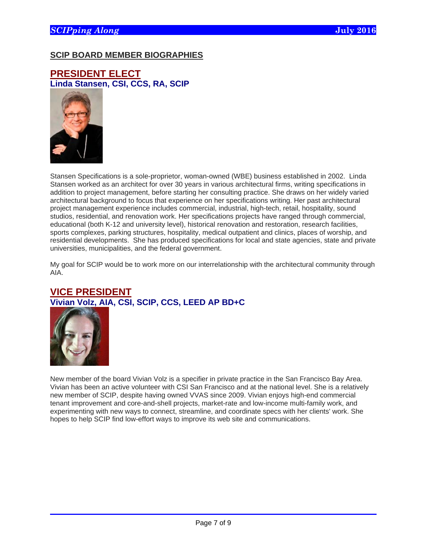# **SCIP BOARD MEMBER BIOGRAPHIES**

**PRESIDENT ELECT Linda Stansen, CSI, CCS, RA, SCIP** 



Stansen Specifications is a sole-proprietor, woman-owned (WBE) business established in 2002. Linda Stansen worked as an architect for over 30 years in various architectural firms, writing specifications in addition to project management, before starting her consulting practice. She draws on her widely varied architectural background to focus that experience on her specifications writing. Her past architectural project management experience includes commercial, industrial, high-tech, retail, hospitality, sound studios, residential, and renovation work. Her specifications projects have ranged through commercial, educational (both K-12 and university level), historical renovation and restoration, research facilities, sports complexes, parking structures, hospitality, medical outpatient and clinics, places of worship, and residential developments. She has produced specifications for local and state agencies, state and private universities, municipalities, and the federal government.

My goal for SCIP would be to work more on our interrelationship with the architectural community through AIA.

# **VICE PRESIDENT Vivian Volz, AIA, CSI, SCIP, CCS, LEED AP BD+C**



 $\overline{a}$ 

New member of the board Vivian Volz is a specifier in private practice in the San Francisco Bay Area. Vivian has been an active volunteer with CSI San Francisco and at the national level. She is a relatively new member of SCIP, despite having owned VVAS since 2009. Vivian enjoys high-end commercial tenant improvement and core-and-shell projects, market-rate and low-income multi-family work, and experimenting with new ways to connect, streamline, and coordinate specs with her clients' work. She hopes to help SCIP find low-effort ways to improve its web site and communications.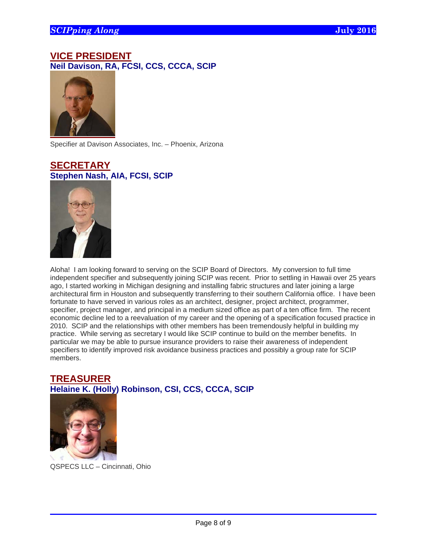# **VICE PRESIDENT Neil Davison, RA, FCSI, CCS, CCCA, SCIP**



Specifier at Davison Associates, Inc. – Phoenix, Arizona

# **SECRETARY Stephen Nash, AIA, FCSI, SCIP**



Aloha! I am looking forward to serving on the SCIP Board of Directors. My conversion to full time independent specifier and subsequently joining SCIP was recent. Prior to settling in Hawaii over 25 years ago, I started working in Michigan designing and installing fabric structures and later joining a large architectural firm in Houston and subsequently transferring to their southern California office. I have been fortunate to have served in various roles as an architect, designer, project architect, programmer, specifier, project manager, and principal in a medium sized office as part of a ten office firm. The recent economic decline led to a reevaluation of my career and the opening of a specification focused practice in 2010. SCIP and the relationships with other members has been tremendously helpful in building my practice. While serving as secretary I would like SCIP continue to build on the member benefits. In particular we may be able to pursue insurance providers to raise their awareness of independent specifiers to identify improved risk avoidance business practices and possibly a group rate for SCIP members.

# **TREASURER Helaine K. (Holly) Robinson, CSI, CCS, CCCA, SCIP**



 $\overline{a}$ 

QSPECS LLC – Cincinnati, Ohio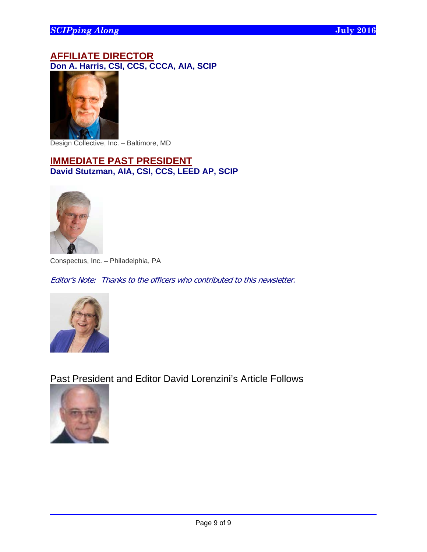# **AFFILIATE DIRECTOR Don A. Harris, CSI, CCS, CCCA, AIA, SCIP**



Design Collective, Inc. – Baltimore, MD

# **IMMEDIATE PAST PRESIDENT David Stutzman, AIA, CSI, CCS, LEED AP, SCIP**



Conspectus, Inc. – Philadelphia, PA

Editor's Note: Thanks to the officers who contributed to this newsletter.



Past President and Editor David Lorenzini's Article Follows



 $\overline{a}$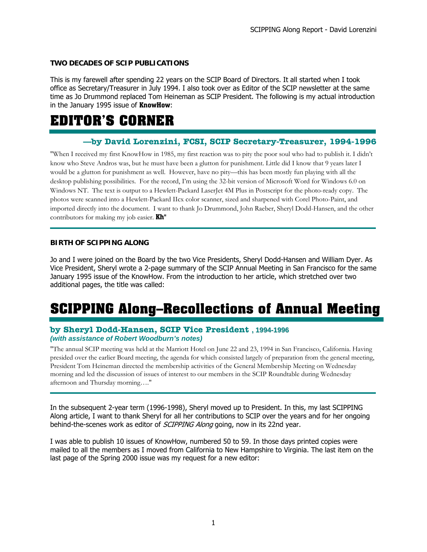## **TWO DECADES OF SCIP PUBLICATIONS**

This is my farewell after spending 22 years on the SCIP Board of Directors. It all started when I took office as Secretary/Treasurer in July 1994. I also took over as Editor of the SCIP newsletter at the same time as Jo Drummond replaced Tom Heineman as SCIP President. The following is my actual introduction in the January 1995 issue of KnowHow:

# **EDITOR'S CORNER**

# **—by David Lorenzini, FCSI, SCIP Secretary-Treasurer, 1994-1996**

"When I received my first KnowHow in 1985, my first reaction was to pity the poor soul who had to publish it. I didn't know who Steve Andros was, but he must have been a glutton for punishment. Little did I know that 9 years later I would be a glutton for punishment as well. However, have no pity—this has been mostly fun playing with all the desktop publishing possibilities. For the record, I'm using the 32-bit version of Microsoft Word for Windows 6.0 on Windows NT. The text is output to a Hewlett-Packard LaserJet 4M Plus in Postscript for the photo-ready copy. The photos were scanned into a Hewlett-Packard IIcx color scanner, sized and sharpened with Corel Photo-Paint, and imported directly into the document. I want to thank Jo Drummond, John Raeber, Sheryl Dodd-Hansen, and the other contributors for making my job easier. **Kh**<sup>"</sup>

### **BIRTH OF SCIPPING ALONG**

Jo and I were joined on the Board by the two Vice Presidents, Sheryl Dodd-Hansen and William Dyer. As Vice President, Sheryl wrote a 2-page summary of the SCIP Annual Meeting in San Francisco for the same January 1995 issue of the KnowHow. From the introduction to her article, which stretched over two additional pages, the title was called:

# **SCIPPING Along–Recollections of Annual Meeting**

### **by Sheryl Dodd-Hansen, SCIP Vice President , 1994-1996** *(with assistance of Robert Woodburn's notes)*

"The annual SCIP meeting was held at the Marriott Hotel on June 22 and 23, 1994 in San Francisco, California. Having presided over the earlier Board meeting, the agenda for which consisted largely of preparation from the general meeting, President Tom Heineman directed the membership activities of the General Membership Meeting on Wednesday morning and led the discussion of issues of interest to our members in the SCIP Roundtable during Wednesday afternoon and Thursday morning…."

In the subsequent 2-year term (1996-1998), Sheryl moved up to President. In this, my last SCIPPING Along article, I want to thank Sheryl for all her contributions to SCIP over the years and for her ongoing behind-the-scenes work as editor of *SCIPPING Along* going, now in its 22nd year.

I was able to publish 10 issues of KnowHow, numbered 50 to 59. In those days printed copies were mailed to all the members as I moved from California to New Hampshire to Virginia. The last item on the last page of the Spring 2000 issue was my request for a new editor: